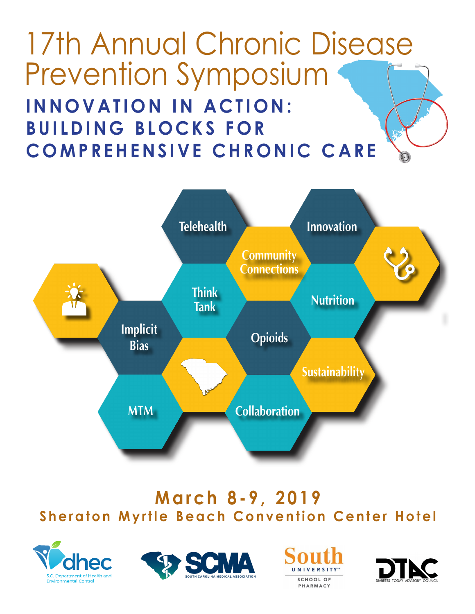# 17th Annual Chronic Disease Prevention Symposium **INNOVATION IN ACTION: BUILDING BLOCKS FOR COMPREHENSIVE CHRONIC CARE Innovation in Action: Building Blocks for Comprehensive Chronic Care**



# **March 8-9, 2019 Sheraton Myrtle Beach Convention Center Hotel Friday, March 8, 2019**







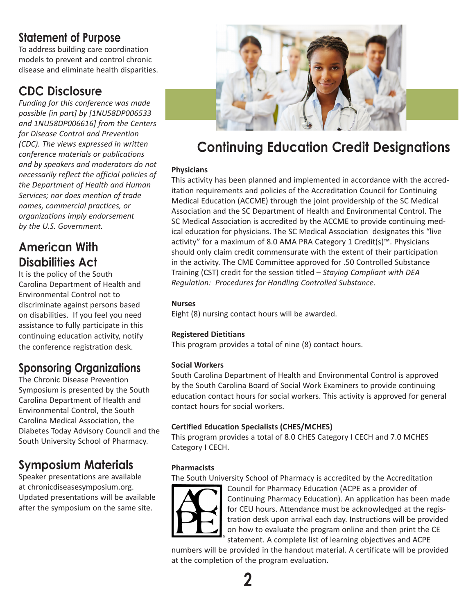## **Statement of Purpose**

To address building care coordination models to prevent and control chronic disease and eliminate health disparities.

## **CDC Disclosure**

*Funding for this conference was made possible [in part] by [1NU58DP006533 and 1NU58DP006616] from the Centers for Disease Control and Prevention (CDC). The views expressed in written conference materials or publications and by speakers and moderators do not necessarily reflect the official policies of the Department of Health and Human Services; nor does mention of trade names, commercial practices, or organizations imply endorsement by the U.S. Government.*

# **American With Disabilities Act**

It is the policy of the South Carolina Department of Health and Environmental Control not to discriminate against persons based on disabilities. If you feel you need assistance to fully participate in this continuing education activity, notify the conference registration desk.

# **Sponsoring Organizations**

The Chronic Disease Prevention Symposium is presented by the South Carolina Department of Health and Environmental Control, the South Carolina Medical Association, the Diabetes Today Advisory Council and the South University School of Pharmacy.

# **Symposium Materials**

Speaker presentations are available at chronicdiseasesymposium.org. Updated presentations will be available after the symposium on the same site.



# **Continuing Education Credit Designations**

## **Physicians**

This activity has been planned and implemented in accordance with the accreditation requirements and policies of the Accreditation Council for Continuing Medical Education (ACCME) through the joint providership of the SC Medical Association and the SC Department of Health and Environmental Control. The SC Medical Association is accredited by the ACCME to provide continuing medical education for physicians. The SC Medical Association designates this "live activity" for a maximum of 8.0 AMA PRA Category 1 Credit(s)™. Physicians should only claim credit commensurate with the extent of their participation in the activity. The CME Committee approved for .50 Controlled Substance Training (CST) credit for the session titled – *Staying Compliant with DEA Regulation: Procedures for Handling Controlled Substance*.

### **Nurses**

Eight (8) nursing contact hours will be awarded.

### **Registered Dietitians**

This program provides a total of nine (8) contact hours.

### **Social Workers**

South Carolina Department of Health and Environmental Control is approved by the South Carolina Board of Social Work Examiners to provide continuing education contact hours for social workers. This activity is approved for general contact hours for social workers.

### **Certified Education Specialists (CHES/MCHES)**

This program provides a total of 8.0 CHES Category I CECH and 7.0 MCHES Category I CECH.

## **Pharmacists**

The South University School of Pharmacy is accredited by the Accreditation



Council for Pharmacy Education (ACPE as a provider of Continuing Pharmacy Education). An application has been made for CEU hours. Attendance must be acknowledged at the registration desk upon arrival each day. Instructions will be provided on how to evaluate the program online and then print the CE statement. A complete list of learning objectives and ACPE

numbers will be provided in the handout material. A certificate will be provided at the completion of the program evaluation.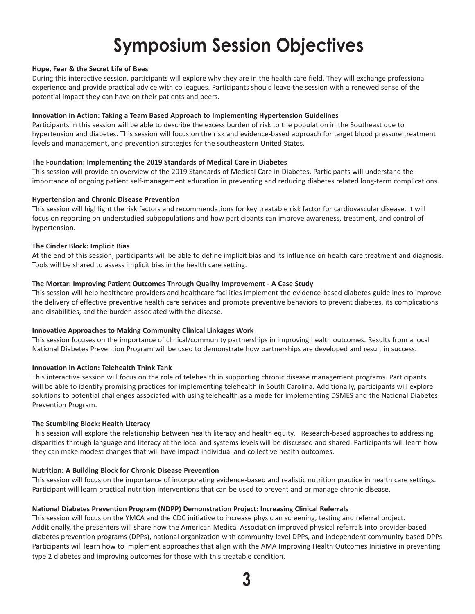# **Symposium Session Objectives**

#### **Hope, Fear & the Secret Life of Bees**

During this interactive session, participants will explore why they are in the health care field. They will exchange professional experience and provide practical advice with colleagues. Participants should leave the session with a renewed sense of the potential impact they can have on their patients and peers.

#### **Innovation in Action: Taking a Team Based Approach to Implementing Hypertension Guidelines**

Participants in this session will be able to describe the excess burden of risk to the population in the Southeast due to hypertension and diabetes. This session will focus on the risk and evidence-based approach for target blood pressure treatment levels and management, and prevention strategies for the southeastern United States.

#### **The Foundation: Implementing the 2019 Standards of Medical Care in Diabetes**

This session will provide an overview of the 2019 Standards of Medical Care in Diabetes. Participants will understand the importance of ongoing patient self-management education in preventing and reducing diabetes related long-term complications.

#### **Hypertension and Chronic Disease Prevention**

This session will highlight the risk factors and recommendations for key treatable risk factor for cardiovascular disease. It will focus on reporting on understudied subpopulations and how participants can improve awareness, treatment, and control of hypertension.

#### **The Cinder Block: Implicit Bias**

At the end of this session, participants will be able to define implicit bias and its influence on health care treatment and diagnosis. Tools will be shared to assess implicit bias in the health care setting.

#### **The Mortar: Improving Patient Outcomes Through Quality Improvement - A Case Study**

This session will help healthcare providers and healthcare facilities implement the evidence-based diabetes guidelines to improve the delivery of effective preventive health care services and promote preventive behaviors to prevent diabetes, its complications and disabilities, and the burden associated with the disease.

#### **Innovative Approaches to Making Community Clinical Linkages Work**

This session focuses on the importance of clinical/community partnerships in improving health outcomes. Results from a local National Diabetes Prevention Program will be used to demonstrate how partnerships are developed and result in success.

#### **Innovation in Action: Telehealth Think Tank**

This interactive session will focus on the role of telehealth in supporting chronic disease management programs. Participants will be able to identify promising practices for implementing telehealth in South Carolina. Additionally, participants will explore solutions to potential challenges associated with using telehealth as a mode for implementing DSMES and the National Diabetes Prevention Program.

#### **The Stumbling Block: Health Literacy**

This session will explore the relationship between health literacy and health equity. Research-based approaches to addressing disparities through language and literacy at the local and systems levels will be discussed and shared. Participants will learn how they can make modest changes that will have impact individual and collective health outcomes.

#### **Nutrition: A Building Block for Chronic Disease Prevention**

This session will focus on the importance of incorporating evidence-based and realistic nutrition practice in health care settings. Participant will learn practical nutrition interventions that can be used to prevent and or manage chronic disease.

#### **National Diabetes Prevention Program (NDPP) Demonstration Project: Increasing Clinical Referrals**

This session will focus on the YMCA and the CDC initiative to increase physician screening, testing and referral project. Additionally, the presenters will share how the American Medical Association improved physical referrals into provider-based diabetes prevention programs (DPPs), national organization with community-level DPPs, and independent community-based DPPs. Participants will learn how to implement approaches that align with the AMA Improving Health Outcomes Initiative in preventing type 2 diabetes and improving outcomes for those with this treatable condition.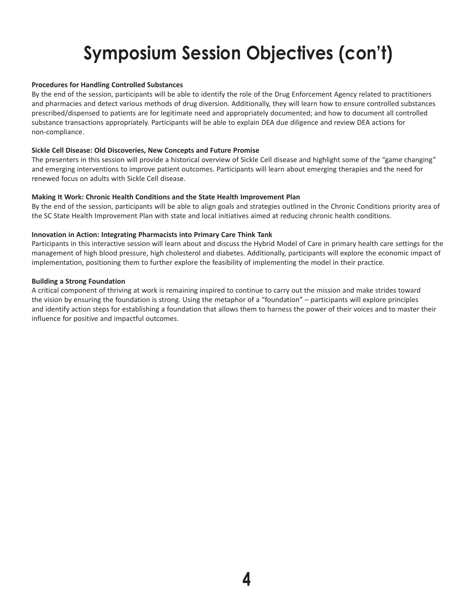# **Symposium Session Objectives (con't)**

#### **Procedures for Handling Controlled Substances**

By the end of the session, participants will be able to identify the role of the Drug Enforcement Agency related to practitioners and pharmacies and detect various methods of drug diversion. Additionally, they will learn how to ensure controlled substances prescribed/dispensed to patients are for legitimate need and appropriately documented; and how to document all controlled substance transactions appropriately. Participants will be able to explain DEA due diligence and review DEA actions for non-compliance.

#### **Sickle Cell Disease: Old Discoveries, New Concepts and Future Promise**

The presenters in this session will provide a historical overview of Sickle Cell disease and highlight some of the "game changing" and emerging interventions to improve patient outcomes. Participants will learn about emerging therapies and the need for renewed focus on adults with Sickle Cell disease.

#### **Making It Work: Chronic Health Conditions and the State Health Improvement Plan**

By the end of the session, participants will be able to align goals and strategies outlined in the Chronic Conditions priority area of the SC State Health Improvement Plan with state and local initiatives aimed at reducing chronic health conditions.

#### **Innovation in Action: Integrating Pharmacists into Primary Care Think Tank**

Participants in this interactive session will learn about and discuss the Hybrid Model of Care in primary health care settings for the management of high blood pressure, high cholesterol and diabetes. Additionally, participants will explore the economic impact of implementation, positioning them to further explore the feasibility of implementing the model in their practice.

#### **Building a Strong Foundation**

A critical component of thriving at work is remaining inspired to continue to carry out the mission and make strides toward the vision by ensuring the foundation is strong. Using the metaphor of a "foundation" – participants will explore principles and identify action steps for establishing a foundation that allows them to harness the power of their voices and to master their influence for positive and impactful outcomes.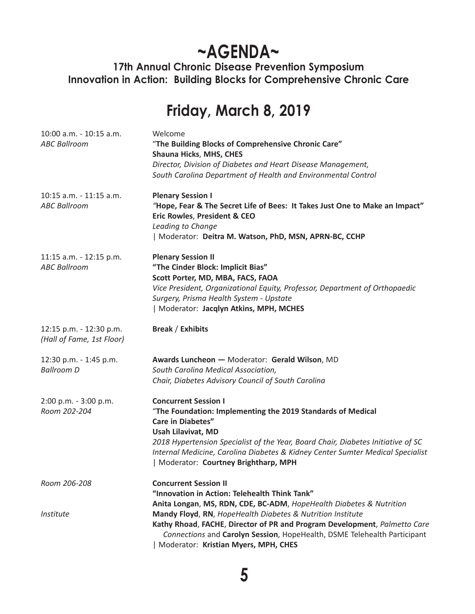# **~AGENDA~**

**17th Annual Chronic Disease Prevention Symposium Innovation in Action: Building Blocks for Comprehensive Chronic Care**

# **Friday, March 8, 2019**

| 10:00 a.m. - 10:15 a.m.<br><b>ABC Ballroom</b>       | Welcome<br>"The Building Blocks of Comprehensive Chronic Care"<br>Shauna Hicks, MHS, CHES<br>Director, Division of Diabetes and Heart Disease Management,<br>South Carolina Department of Health and Environmental Control                                                                                                                                  |
|------------------------------------------------------|-------------------------------------------------------------------------------------------------------------------------------------------------------------------------------------------------------------------------------------------------------------------------------------------------------------------------------------------------------------|
| 10:15 a.m. - 11:15 a.m.<br><b>ABC Ballroom</b>       | <b>Plenary Session I</b><br>"Hope, Fear & The Secret Life of Bees: It Takes Just One to Make an Impact"<br>Eric Rowles, President & CEO<br>Leading to Change<br>  Moderator: Deitra M. Watson, PhD, MSN, APRN-BC, CCHP                                                                                                                                      |
| 11:15 a.m. - 12:15 p.m.<br><b>ABC Ballroom</b>       | <b>Plenary Session II</b><br>"The Cinder Block: Implicit Bias"<br>Scott Porter, MD, MBA, FACS, FAOA<br>Vice President, Organizational Equity, Professor, Department of Orthopaedic<br>Surgery, Prisma Health System - Upstate<br>  Moderator: Jacqlyn Atkins, MPH, MCHES                                                                                    |
| 12:15 p.m. - 12:30 p.m.<br>(Hall of Fame, 1st Floor) | <b>Break / Exhibits</b>                                                                                                                                                                                                                                                                                                                                     |
| 12:30 p.m. - 1:45 p.m.<br><b>Ballroom D</b>          | Awards Luncheon - Moderator: Gerald Wilson, MD<br>South Carolina Medical Association,<br>Chair, Diabetes Advisory Council of South Carolina                                                                                                                                                                                                                 |
| 2:00 p.m. - 3:00 p.m.<br>Room 202-204                | <b>Concurrent Session I</b><br>"The Foundation: Implementing the 2019 Standards of Medical<br><b>Care in Diabetes"</b><br>Usah Lilavivat, MD<br>2018 Hypertension Specialist of the Year, Board Chair, Diabetes Initiative of SC<br>Internal Medicine, Carolina Diabetes & Kidney Center Sumter Medical Specialist<br>  Moderator: Courtney Brightharp, MPH |
| Room 206-208                                         | <b>Concurrent Session II</b><br>"Innovation in Action: Telehealth Think Tank"<br>Anita Longan, MS, RDN, CDE, BC-ADM, HopeHealth Diabetes & Nutrition                                                                                                                                                                                                        |
| Institute                                            | Mandy Floyd, RN, HopeHealth Diabetes & Nutrition Institute<br>Kathy Rhoad, FACHE, Director of PR and Program Development, Palmetto Care<br>Connections and Carolyn Session, HopeHealth, DSME Telehealth Participant<br>Moderator: Kristian Myers, MPH, CHES                                                                                                 |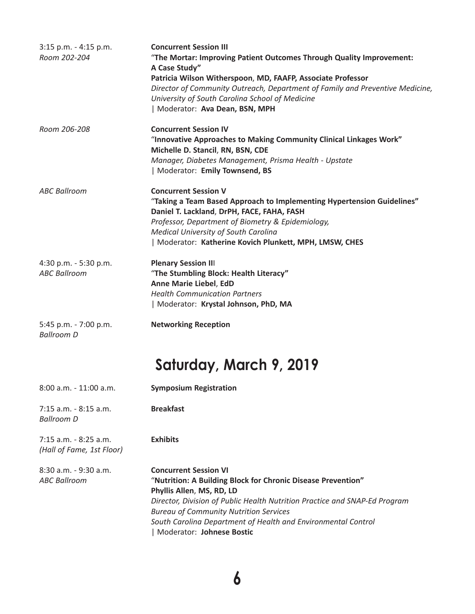| $3:15$ p.m. - 4:15 p.m.<br>Room 202-204            | <b>Concurrent Session III</b><br>"The Mortar: Improving Patient Outcomes Through Quality Improvement:<br>A Case Study"<br>Patricia Wilson Witherspoon, MD, FAAFP, Associate Professor<br>Director of Community Outreach, Department of Family and Preventive Medicine,<br>University of South Carolina School of Medicine<br>  Moderator: Ava Dean, BSN, MPH |
|----------------------------------------------------|--------------------------------------------------------------------------------------------------------------------------------------------------------------------------------------------------------------------------------------------------------------------------------------------------------------------------------------------------------------|
| Room 206-208                                       | <b>Concurrent Session IV</b><br>"Innovative Approaches to Making Community Clinical Linkages Work"<br>Michelle D. Stancil, RN, BSN, CDE<br>Manager, Diabetes Management, Prisma Health - Upstate<br>  Moderator: Emily Townsend, BS                                                                                                                          |
| <b>ABC Ballroom</b>                                | <b>Concurrent Session V</b><br>"Taking a Team Based Approach to Implementing Hypertension Guidelines"<br>Daniel T. Lackland, DrPH, FACE, FAHA, FASH<br>Professor, Department of Biometry & Epidemiology,<br><b>Medical University of South Carolina</b><br>  Moderator: Katherine Kovich Plunkett, MPH, LMSW, CHES                                           |
| 4:30 p.m. - 5:30 p.m.<br><b>ABC Ballroom</b>       | <b>Plenary Session III</b><br>"The Stumbling Block: Health Literacy"<br>Anne Marie Liebel, EdD<br><b>Health Communication Partners</b><br>  Moderator: Krystal Johnson, PhD, MA                                                                                                                                                                              |
| 5:45 p.m. - 7:00 p.m.<br><b>Ballroom D</b>         | <b>Networking Reception</b>                                                                                                                                                                                                                                                                                                                                  |
|                                                    | Saturday, March 9, 2019                                                                                                                                                                                                                                                                                                                                      |
| 8:00 a.m. - 11:00 a.m.                             | <b>Symposium Registration</b>                                                                                                                                                                                                                                                                                                                                |
| 7:15 a.m. - 8:15 a.m.<br><b>Ballroom D</b>         | <b>Breakfast</b>                                                                                                                                                                                                                                                                                                                                             |
| 7:15 a.m. - 8:25 a.m.<br>(Hall of Fame, 1st Floor) | <b>Exhibits</b>                                                                                                                                                                                                                                                                                                                                              |
| 8:30 a.m. - 9:30 a.m.<br><b>ABC Ballroom</b>       | <b>Concurrent Session VI</b><br>"Nutrition: A Building Block for Chronic Disease Prevention"<br>Phyllis Allen, MS, RD, LD<br>Director, Division of Public Health Nutrition Practice and SNAP-Ed Program<br><b>Bureau of Community Nutrition Services</b><br>South Carolina Department of Health and Environmental Control<br>  Moderator: Johnese Bostic     |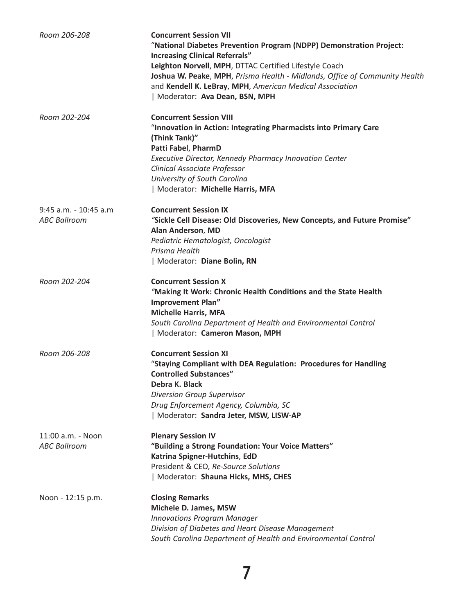| Room 206-208                                 | <b>Concurrent Session VII</b><br>"National Diabetes Prevention Program (NDPP) Demonstration Project:<br><b>Increasing Clinical Referrals"</b><br>Leighton Norvell, MPH, DTTAC Certified Lifestyle Coach<br>Joshua W. Peake, MPH, Prisma Health - Midlands, Office of Community Health<br>and Kendell K. LeBray, MPH, American Medical Association<br>  Moderator: Ava Dean, BSN, MPH |
|----------------------------------------------|--------------------------------------------------------------------------------------------------------------------------------------------------------------------------------------------------------------------------------------------------------------------------------------------------------------------------------------------------------------------------------------|
| Room 202-204                                 | <b>Concurrent Session VIII</b><br>"Innovation in Action: Integrating Pharmacists into Primary Care<br>(Think Tank)"<br>Patti Fabel, PharmD<br>Executive Director, Kennedy Pharmacy Innovation Center<br>Clinical Associate Professor<br>University of South Carolina<br>  Moderator: Michelle Harris, MFA                                                                            |
| 9:45 a.m. - 10:45 a.m<br><b>ABC Ballroom</b> | <b>Concurrent Session IX</b><br>"Sickle Cell Disease: Old Discoveries, New Concepts, and Future Promise"<br>Alan Anderson, MD<br>Pediatric Hematologist, Oncologist<br>Prisma Health<br>  Moderator: Diane Bolin, RN                                                                                                                                                                 |
| Room 202-204                                 | <b>Concurrent Session X</b><br>"Making It Work: Chronic Health Conditions and the State Health<br><b>Improvement Plan"</b><br><b>Michelle Harris, MFA</b><br>South Carolina Department of Health and Environmental Control<br>  Moderator: Cameron Mason, MPH                                                                                                                        |
| Room 206-208                                 | <b>Concurrent Session XI</b><br>"Staying Compliant with DEA Regulation: Procedures for Handling<br><b>Controlled Substances"</b><br>Debra K. Black<br><b>Diversion Group Supervisor</b><br>Drug Enforcement Agency, Columbia, SC<br>  Moderator: Sandra Jeter, MSW, LISW-AP                                                                                                          |
| 11:00 a.m. - Noon<br><b>ABC Ballroom</b>     | <b>Plenary Session IV</b><br>"Building a Strong Foundation: Your Voice Matters"<br>Katrina Spigner-Hutchins, EdD<br>President & CEO, Re-Source Solutions<br>  Moderator: Shauna Hicks, MHS, CHES                                                                                                                                                                                     |
| Noon - 12:15 p.m.                            | <b>Closing Remarks</b><br>Michele D. James, MSW<br><b>Innovations Program Manager</b><br>Division of Diabetes and Heart Disease Management<br>South Carolina Department of Health and Environmental Control                                                                                                                                                                          |

**7**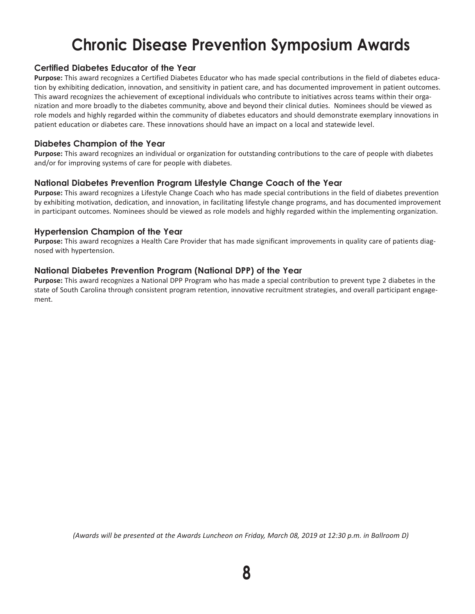# **Chronic Disease Prevention Symposium Awards**

### **Certified Diabetes Educator of the Year**

**Purpose:** This award recognizes a Certified Diabetes Educator who has made special contributions in the field of diabetes education by exhibiting dedication, innovation, and sensitivity in patient care, and has documented improvement in patient outcomes. This award recognizes the achievement of exceptional individuals who contribute to initiatives across teams within their organization and more broadly to the diabetes community, above and beyond their clinical duties. Nominees should be viewed as role models and highly regarded within the community of diabetes educators and should demonstrate exemplary innovations in patient education or diabetes care. These innovations should have an impact on a local and statewide level.

### **Diabetes Champion of the Year**

**Purpose:** This award recognizes an individual or organization for outstanding contributions to the care of people with diabetes and/or for improving systems of care for people with diabetes.

#### **National Diabetes Prevention Program Lifestyle Change Coach of the Year**

**Purpose:** This award recognizes a Lifestyle Change Coach who has made special contributions in the field of diabetes prevention by exhibiting motivation, dedication, and innovation, in facilitating lifestyle change programs, and has documented improvement in participant outcomes. Nominees should be viewed as role models and highly regarded within the implementing organization.

#### **Hypertension Champion of the Year**

**Purpose:** This award recognizes a Health Care Provider that has made significant improvements in quality care of patients diagnosed with hypertension.

### **National Diabetes Prevention Program (National DPP) of the Year**

**Purpose:** This award recognizes a National DPP Program who has made a special contribution to prevent type 2 diabetes in the state of South Carolina through consistent program retention, innovative recruitment strategies, and overall participant engagement.

*(Awards will be presented at the Awards Luncheon on Friday, March 08, 2019 at 12:30 p.m. in Ballroom D)*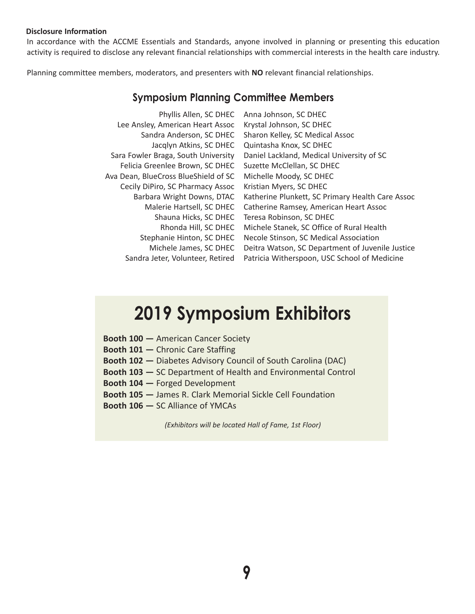#### **Disclosure Information**

In accordance with the ACCME Essentials and Standards, anyone involved in planning or presenting this education activity is required to disclose any relevant financial relationships with commercial interests in the health care industry.

Planning committee members, moderators, and presenters with **NO** relevant financial relationships.

## **Symposium Planning Committee Members**

| Phyllis Allen, SC DHEC               | Anna Johnson, SC DHEC                            |
|--------------------------------------|--------------------------------------------------|
| Lee Ansley, American Heart Assoc     | Krystal Johnson, SC DHEC                         |
| Sandra Anderson, SC DHEC             | Sharon Kelley, SC Medical Assoc                  |
| Jacqlyn Atkins, SC DHEC              | Quintasha Knox, SC DHEC                          |
| Sara Fowler Braga, South University  | Daniel Lackland, Medical University of SC        |
| Felicia Greenlee Brown, SC DHEC      | Suzette McClellan, SC DHEC                       |
| Ava Dean, BlueCross BlueShield of SC | Michelle Moody, SC DHEC                          |
| Cecily DiPiro, SC Pharmacy Assoc     | Kristian Myers, SC DHEC                          |
| Barbara Wright Downs, DTAC           | Katherine Plunkett, SC Primary Health Care Assoc |
| Malerie Hartsell, SC DHEC            | Catherine Ramsey, American Heart Assoc           |
| Shauna Hicks, SC DHEC                | Teresa Robinson, SC DHEC                         |
| Rhonda Hill, SC DHEC                 | Michele Stanek, SC Office of Rural Health        |
| Stephanie Hinton, SC DHEC            | Necole Stinson, SC Medical Association           |
| Michele James, SC DHEC               | Deitra Watson, SC Department of Juvenile Justice |
| Sandra Jeter, Volunteer, Retired     | Patricia Witherspoon, USC School of Medicine     |
|                                      |                                                  |

# **2019 Symposium Exhibitors**

|  |   |        |  | <b>Booth 100 - American Cancer Society</b> |
|--|---|--------|--|--------------------------------------------|
|  | . | $\sim$ |  |                                            |

- **Booth 101** Chronic Care Staffing
- **Booth 102** Diabetes Advisory Council of South Carolina (DAC)
- **Booth 103** SC Department of Health and Environmental Control
- **Booth 104** Forged Development
- **Booth 105** James R. Clark Memorial Sickle Cell Foundation
- **Booth 106** SC Alliance of YMCAs

*(Exhibitors will be located Hall of Fame, 1st Floor)*